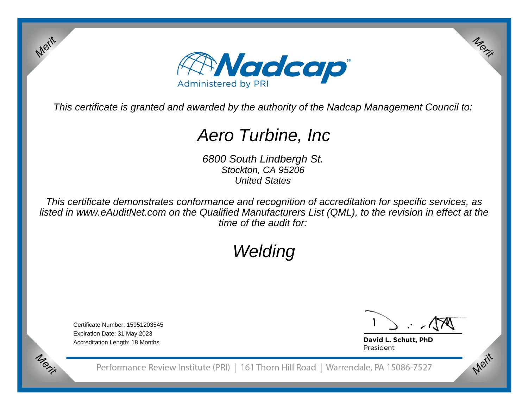

This certificate is granted and awarded by the authority of the Nadcap Management Council to:

# Aero Turbine, Inc

6800 South Lindbergh St.Stockton, CA 95206United States

This certificate demonstrates conformance and recognition of accreditation for specific services, as listed in www.eAuditNet.com on the Qualified Manufacturers List (QML), to the revision in effect at thetime of the audit for:

# Welding

Certificate Number: 15951203545Expiration Date: 31 May 2023Accreditation Length: 18 Months

Merit

Merit

Merit

Merit

David L. Schutt, PhD President

Performance Review Institute (PRI) | 161 Thorn Hill Road | Warrendale, PA 15086-7527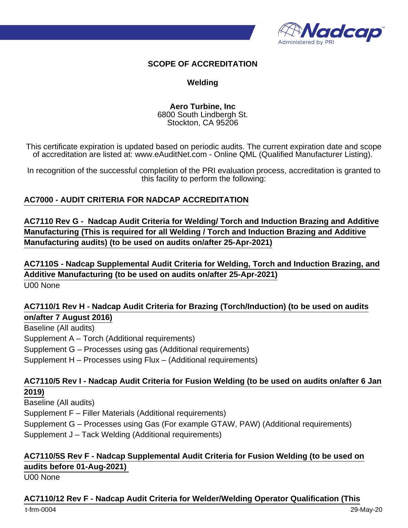

#### **SCOPE OF ACCREDITATION**

#### **Welding**

**Aero Turbine, Inc** 6800 South Lindbergh St. Stockton, CA 95206

This certificate expiration is updated based on periodic audits. The current expiration date and scope of accreditation are listed at: www.eAuditNet.com - Online QML (Qualified Manufacturer Listing).

In recognition of the successful completion of the PRI evaluation process, accreditation is granted to this facility to perform the following:

#### **AC7000 - AUDIT CRITERIA FOR NADCAP ACCREDITATION**

**AC7110 Rev G - Nadcap Audit Criteria for Welding/ Torch and Induction Brazing and Additive Manufacturing (This is required for all Welding / Torch and Induction Brazing and Additive Manufacturing audits) (to be used on audits on/after 25-Apr-2021)**

**AC7110S - Nadcap Supplemental Audit Criteria for Welding, Torch and Induction Brazing, and Additive Manufacturing (to be used on audits on/after 25-Apr-2021)** U00 None

# **AC7110/1 Rev H - Nadcap Audit Criteria for Brazing (Torch/Induction) (to be used on audits on/after 7 August 2016)**

Baseline (All audits) Supplement A – Torch (Additional requirements) Supplement G – Processes using gas (Additional requirements) Supplement H – Processes using Flux – (Additional requirements)

### **AC7110/5 Rev I - Nadcap Audit Criteria for Fusion Welding (to be used on audits on/after 6 Jan 2019)**

Baseline (All audits) Supplement F – Filler Materials (Additional requirements) Supplement G – Processes using Gas (For example GTAW, PAW) (Additional requirements) Supplement J – Tack Welding (Additional requirements)

# **AC7110/5S Rev F - Nadcap Supplemental Audit Criteria for Fusion Welding (to be used on audits before 01-Aug-2021)**

U00 None

#### **AC7110/12 Rev F - Nadcap Audit Criteria for Welder/Welding Operator Qualification (This**